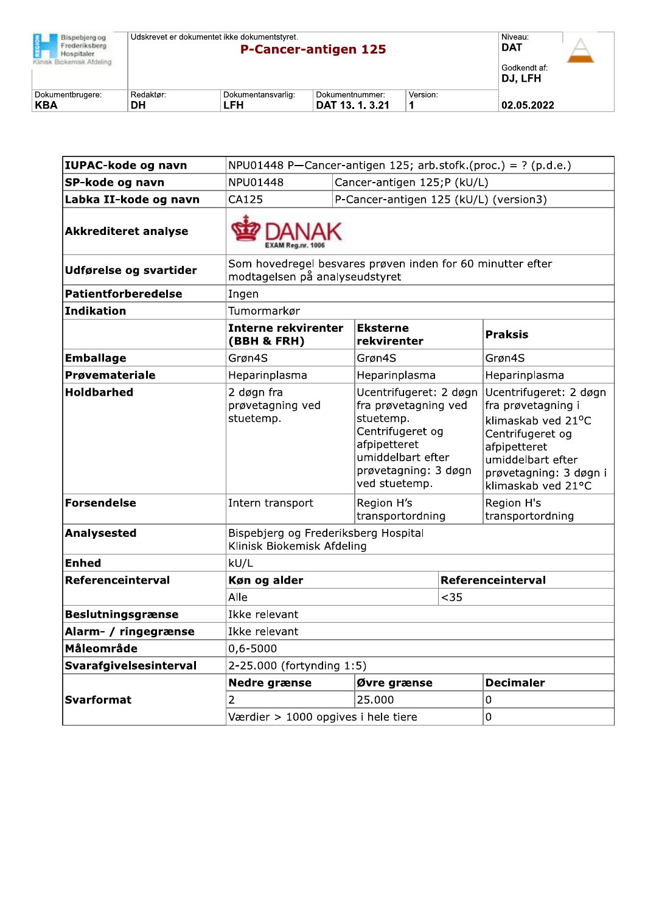| Bispebierg og<br>Frederiksberg<br>Hospitaler.<br>Klinisk Biokemisk Afdeling | Udskrevet er dokumentet ikke dokumentstyret.<br><b>P-Cancer-antigen 125</b><br>DJ. LFH |                           |                                    |          |            |  |
|-----------------------------------------------------------------------------|----------------------------------------------------------------------------------------|---------------------------|------------------------------------|----------|------------|--|
| Dokumentbrugere:<br><b>KBA</b>                                              | Redaktør:<br>DΗ                                                                        | Dokumentansvarlig:<br>LFH | Dokumentnummer:<br>DAT 13. 1. 3.21 | Version: | 02.05.2022 |  |

| IUPAC-kode og navn          | NPU01448 P-Cancer-antigen 125; arb.stofk.(proc.) = $?$ (p.d.e.)                              |                                        |                                                                                                                                                               |                |                                                                                                                                                                             |  |
|-----------------------------|----------------------------------------------------------------------------------------------|----------------------------------------|---------------------------------------------------------------------------------------------------------------------------------------------------------------|----------------|-----------------------------------------------------------------------------------------------------------------------------------------------------------------------------|--|
| SP-kode og navn             | NPU01448                                                                                     |                                        | Cancer-antigen 125;P (kU/L)                                                                                                                                   |                |                                                                                                                                                                             |  |
| Labka II-kode og navn       | CA125                                                                                        | P-Cancer-antigen 125 (kU/L) (version3) |                                                                                                                                                               |                |                                                                                                                                                                             |  |
| <b>Akkrediteret analyse</b> | <b>EXAM Reg.nr. 100</b>                                                                      |                                        |                                                                                                                                                               |                |                                                                                                                                                                             |  |
| Udførelse og svartider      | Som hovedregel besvares prøven inden for 60 minutter efter<br>modtagelsen på analyseudstyret |                                        |                                                                                                                                                               |                |                                                                                                                                                                             |  |
| <b>Patientforberedelse</b>  | Ingen                                                                                        |                                        |                                                                                                                                                               |                |                                                                                                                                                                             |  |
| Indikation                  | Tumormarkør                                                                                  |                                        |                                                                                                                                                               |                |                                                                                                                                                                             |  |
|                             | <b>Interne rekvirenter</b><br>(BBH & FRH)                                                    | <b>Eksterne</b><br>rekvirenter         |                                                                                                                                                               | <b>Praksis</b> |                                                                                                                                                                             |  |
| <b>Emballage</b>            | Grøn4S                                                                                       |                                        | Grøn4S                                                                                                                                                        |                | Grøn4S                                                                                                                                                                      |  |
| Prøvemateriale              | Heparinplasma                                                                                |                                        | Heparinplasma                                                                                                                                                 |                | Heparinplasma                                                                                                                                                               |  |
| <b>Holdbarhed</b>           | 2 døgn fra<br>prøvetagning ved<br>stuetemp.                                                  |                                        | Ucentrifugeret: 2 døgn<br>fra prøvetagning ved<br>stuetemp.<br>Centrifugeret og<br>afpipetteret<br>umiddelbart efter<br>prøvetagning: 3 døgn<br>ved stuetemp. |                | Ucentrifugeret: 2 døgn<br>fra prøvetagning i<br>klimaskab ved 21°C<br>Centrifugeret og<br>afpipetteret<br>umiddelbart efter<br>prøvetagning: 3 døgn i<br>klimaskab ved 21°C |  |
| <b>Forsendelse</b>          | Intern transport                                                                             |                                        | Region H's<br>transportordning                                                                                                                                |                | Region H's<br>transportordning                                                                                                                                              |  |
| Analysested                 | Bispebjerg og Frederiksberg Hospital<br>Klinisk Biokemisk Afdeling                           |                                        |                                                                                                                                                               |                |                                                                                                                                                                             |  |
| <b>Enhed</b>                | kU/L                                                                                         |                                        |                                                                                                                                                               |                |                                                                                                                                                                             |  |
| Referenceinterval           | Køn og alder                                                                                 |                                        |                                                                                                                                                               |                | Referenceinterval                                                                                                                                                           |  |
|                             | Alle                                                                                         |                                        | $35$                                                                                                                                                          |                |                                                                                                                                                                             |  |
| <b>Beslutningsgrænse</b>    | Ikke relevant                                                                                |                                        |                                                                                                                                                               |                |                                                                                                                                                                             |  |
| Alarm- / ringegrænse        | Ikke relevant                                                                                |                                        |                                                                                                                                                               |                |                                                                                                                                                                             |  |
| Måleområde                  | 0,6-5000                                                                                     |                                        |                                                                                                                                                               |                |                                                                                                                                                                             |  |
| Svarafgivelsesinterval      | 2-25.000 (fortynding 1:5)                                                                    |                                        |                                                                                                                                                               |                |                                                                                                                                                                             |  |
|                             | <b>Nedre grænse</b>                                                                          |                                        | Øvre grænse                                                                                                                                                   |                | <b>Decimaler</b>                                                                                                                                                            |  |
| <b>Svarformat</b>           | 2                                                                                            | 25.000                                 |                                                                                                                                                               | 0              |                                                                                                                                                                             |  |
|                             | Værdier > 1000 opgives i hele tiere<br>0                                                     |                                        |                                                                                                                                                               |                |                                                                                                                                                                             |  |